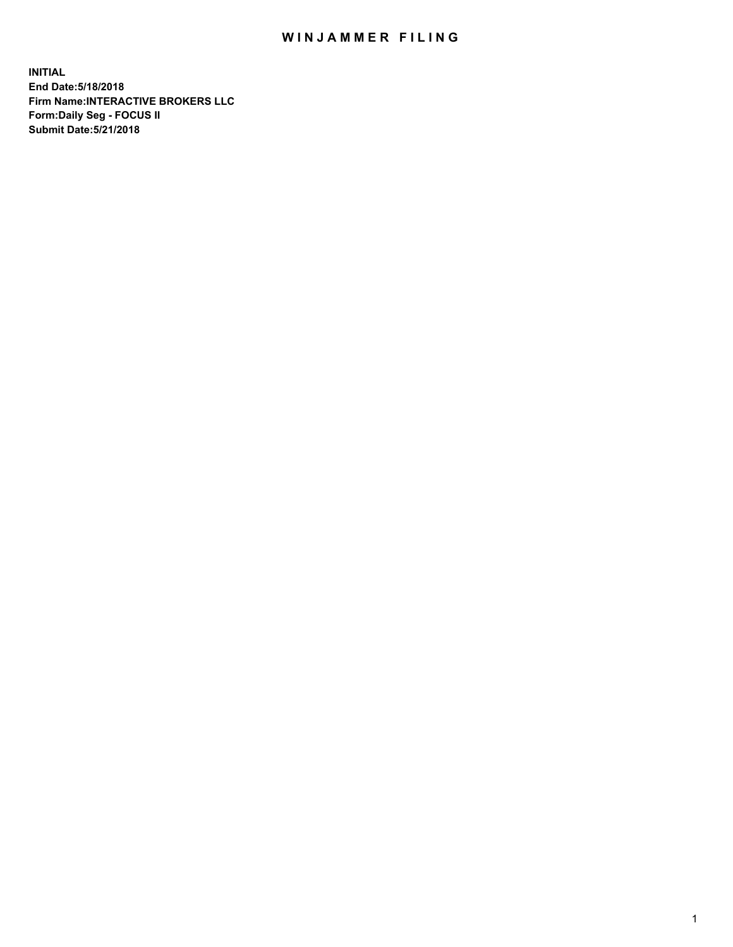## WIN JAMMER FILING

**INITIAL End Date:5/18/2018 Firm Name:INTERACTIVE BROKERS LLC Form:Daily Seg - FOCUS II Submit Date:5/21/2018**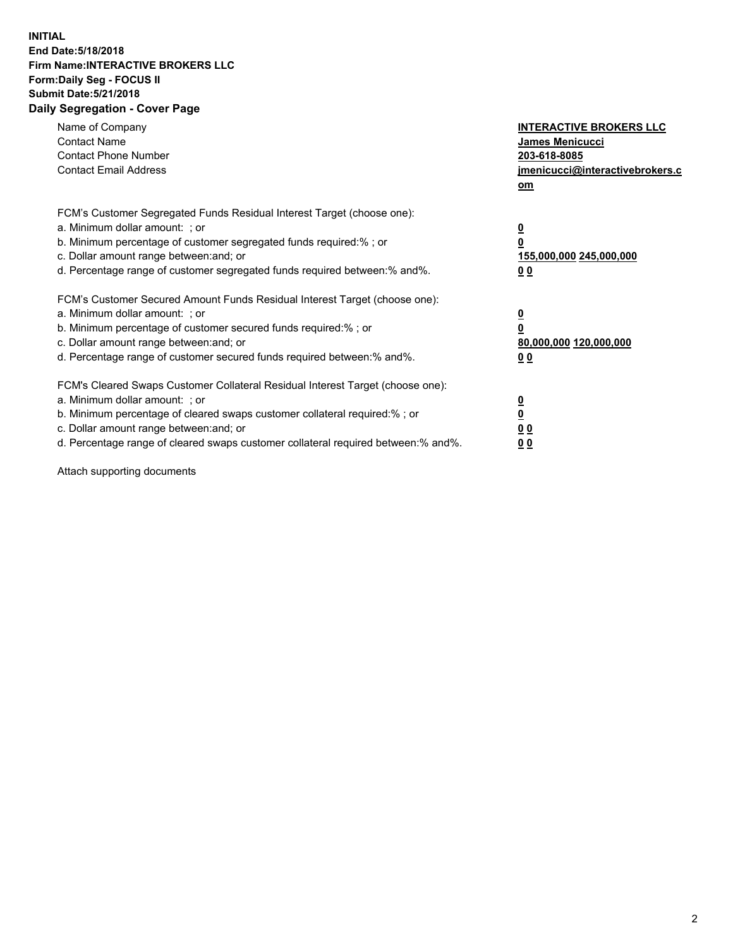## **INITIAL End Date:5/18/2018 Firm Name:INTERACTIVE BROKERS LLC Form:Daily Seg - FOCUS II Submit Date:5/21/2018 Daily Segregation - Cover Page**

| Name of Company<br><b>Contact Name</b><br><b>Contact Phone Number</b><br><b>Contact Email Address</b>                                                                                                                                                                                                                          | <b>INTERACTIVE BROKERS LLC</b><br><b>James Menicucci</b><br>203-618-8085<br>jmenicucci@interactivebrokers.c<br>om |
|--------------------------------------------------------------------------------------------------------------------------------------------------------------------------------------------------------------------------------------------------------------------------------------------------------------------------------|-------------------------------------------------------------------------------------------------------------------|
| FCM's Customer Segregated Funds Residual Interest Target (choose one):<br>a. Minimum dollar amount: ; or<br>b. Minimum percentage of customer segregated funds required:% ; or<br>c. Dollar amount range between: and; or<br>d. Percentage range of customer segregated funds required between: % and %.                       | $\overline{\mathbf{0}}$<br>0<br>155,000,000 245,000,000<br>00                                                     |
| FCM's Customer Secured Amount Funds Residual Interest Target (choose one):<br>a. Minimum dollar amount: ; or<br>b. Minimum percentage of customer secured funds required:%; or<br>c. Dollar amount range between: and; or<br>d. Percentage range of customer secured funds required between: % and %.                          | $\overline{\mathbf{0}}$<br>0<br>80,000,000 120,000,000<br>00                                                      |
| FCM's Cleared Swaps Customer Collateral Residual Interest Target (choose one):<br>a. Minimum dollar amount: ; or<br>b. Minimum percentage of cleared swaps customer collateral required:% ; or<br>c. Dollar amount range between: and; or<br>d. Percentage range of cleared swaps customer collateral required between:% and%. | $\overline{\mathbf{0}}$<br>$\overline{\mathbf{0}}$<br>00<br>0 <sub>0</sub>                                        |

Attach supporting documents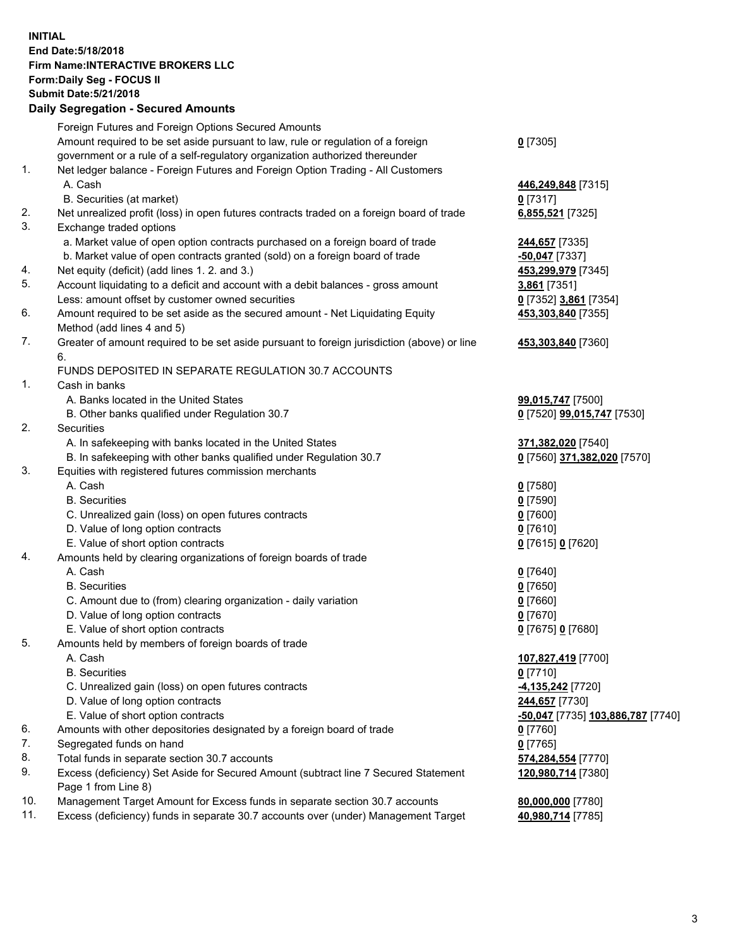## **INITIAL End Date:5/18/2018 Firm Name:INTERACTIVE BROKERS LLC Form:Daily Seg - FOCUS II Submit Date:5/21/2018 Daily Segregation - Secured Amounts**

|     | Daily Segregation - Secured Amounts                                                                        |                                   |
|-----|------------------------------------------------------------------------------------------------------------|-----------------------------------|
|     | Foreign Futures and Foreign Options Secured Amounts                                                        |                                   |
|     | Amount required to be set aside pursuant to law, rule or regulation of a foreign                           | $0$ [7305]                        |
|     | government or a rule of a self-regulatory organization authorized thereunder                               |                                   |
| 1.  | Net ledger balance - Foreign Futures and Foreign Option Trading - All Customers                            |                                   |
|     | A. Cash                                                                                                    | 446,249,848 [7315]                |
|     | B. Securities (at market)                                                                                  | $0$ [7317]                        |
| 2.  | Net unrealized profit (loss) in open futures contracts traded on a foreign board of trade                  | 6,855,521 [7325]                  |
| 3.  | Exchange traded options                                                                                    |                                   |
|     | a. Market value of open option contracts purchased on a foreign board of trade                             | 244,657 [7335]                    |
|     | b. Market value of open contracts granted (sold) on a foreign board of trade                               | $-50,047$ [7337]                  |
| 4.  | Net equity (deficit) (add lines 1.2. and 3.)                                                               | 453,299,979 [7345]                |
| 5.  | Account liquidating to a deficit and account with a debit balances - gross amount                          | 3,861 [7351]                      |
|     | Less: amount offset by customer owned securities                                                           | 0 [7352] 3,861 [7354]             |
| 6.  | Amount required to be set aside as the secured amount - Net Liquidating Equity                             | 453,303,840 [7355]                |
|     | Method (add lines 4 and 5)                                                                                 |                                   |
| 7.  | Greater of amount required to be set aside pursuant to foreign jurisdiction (above) or line                | 453,303,840 [7360]                |
|     | 6.                                                                                                         |                                   |
|     | FUNDS DEPOSITED IN SEPARATE REGULATION 30.7 ACCOUNTS                                                       |                                   |
| 1.  | Cash in banks                                                                                              |                                   |
|     | A. Banks located in the United States                                                                      | 99,015,747 [7500]                 |
|     | B. Other banks qualified under Regulation 30.7                                                             | 0 [7520] 99,015,747 [7530]        |
| 2.  | Securities                                                                                                 |                                   |
|     | A. In safekeeping with banks located in the United States                                                  | 371,382,020 [7540]                |
|     | B. In safekeeping with other banks qualified under Regulation 30.7                                         | 0 [7560] 371,382,020 [7570]       |
| 3.  | Equities with registered futures commission merchants                                                      |                                   |
|     | A. Cash                                                                                                    | $0$ [7580]                        |
|     | <b>B.</b> Securities                                                                                       | $0$ [7590]                        |
|     | C. Unrealized gain (loss) on open futures contracts                                                        | $0$ [7600]                        |
|     | D. Value of long option contracts                                                                          | $0$ [7610]                        |
|     | E. Value of short option contracts                                                                         | 0 [7615] 0 [7620]                 |
| 4.  | Amounts held by clearing organizations of foreign boards of trade                                          |                                   |
|     | A. Cash                                                                                                    | $0$ [7640]                        |
|     | <b>B.</b> Securities                                                                                       | $0$ [7650]                        |
|     | C. Amount due to (from) clearing organization - daily variation                                            | $0$ [7660]                        |
|     | D. Value of long option contracts                                                                          | $0$ [7670]                        |
|     | E. Value of short option contracts                                                                         | 0 [7675] 0 [7680]                 |
| 5.  | Amounts held by members of foreign boards of trade                                                         |                                   |
|     | A. Cash                                                                                                    | 107,827,419 [7700]                |
|     | <b>B.</b> Securities                                                                                       | $0$ [7710]                        |
|     | C. Unrealized gain (loss) on open futures contracts                                                        | -4,135,242 <sup>[7720]</sup>      |
|     | D. Value of long option contracts                                                                          | 244,657 [7730]                    |
|     | E. Value of short option contracts                                                                         | -50,047 [7735] 103,886,787 [7740] |
| 6.  | Amounts with other depositories designated by a foreign board of trade                                     | $0$ [7760]                        |
| 7.  | Segregated funds on hand                                                                                   | $0$ [7765]                        |
| 8.  | Total funds in separate section 30.7 accounts                                                              | 574,284,554 [7770]                |
| 9.  | Excess (deficiency) Set Aside for Secured Amount (subtract line 7 Secured Statement<br>Page 1 from Line 8) | 120,980,714 [7380]                |
| 10. | Management Target Amount for Excess funds in separate section 30.7 accounts                                | 80,000,000 [7780]                 |
| 11. | Excess (deficiency) funds in separate 30.7 accounts over (under) Management Target                         | 40,980,714 [7785]                 |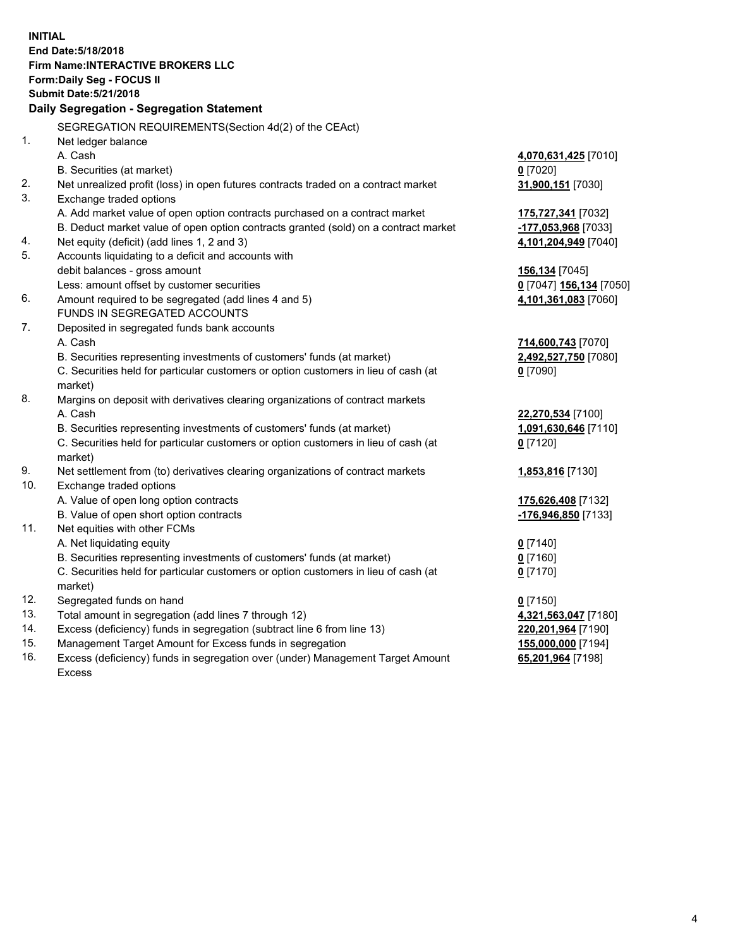**INITIAL End Date:5/18/2018 Firm Name:INTERACTIVE BROKERS LLC Form:Daily Seg - FOCUS II Submit Date:5/21/2018 Daily Segregation - Segregation Statement** SEGREGATION REQUIREMENTS(Section 4d(2) of the CEAct) 1. Net ledger balance A. Cash **4,070,631,425** [7010] B. Securities (at market) **0** [7020] 2. Net unrealized profit (loss) in open futures contracts traded on a contract market **31,900,151** [7030] 3. Exchange traded options A. Add market value of open option contracts purchased on a contract market **175,727,341** [7032] B. Deduct market value of open option contracts granted (sold) on a contract market **-177,053,968** [7033] 4. Net equity (deficit) (add lines 1, 2 and 3) **4,101,204,949** [7040] 5. Accounts liquidating to a deficit and accounts with debit balances - gross amount **156,134** [7045] Less: amount offset by customer securities **0** [7047] **156,134** [7050] 6. Amount required to be segregated (add lines 4 and 5) **4,101,361,083** [7060] FUNDS IN SEGREGATED ACCOUNTS 7. Deposited in segregated funds bank accounts A. Cash **714,600,743** [7070] B. Securities representing investments of customers' funds (at market) **2,492,527,750** [7080] C. Securities held for particular customers or option customers in lieu of cash (at market) **0** [7090] 8. Margins on deposit with derivatives clearing organizations of contract markets A. Cash **22,270,534** [7100] B. Securities representing investments of customers' funds (at market) **1,091,630,646** [7110] C. Securities held for particular customers or option customers in lieu of cash (at market) **0** [7120] 9. Net settlement from (to) derivatives clearing organizations of contract markets **1,853,816** [7130] 10. Exchange traded options A. Value of open long option contracts **175,626,408** [7132] B. Value of open short option contracts **-176,946,850** [7133] 11. Net equities with other FCMs A. Net liquidating equity **0** [7140] B. Securities representing investments of customers' funds (at market) **0** [7160] C. Securities held for particular customers or option customers in lieu of cash (at market) **0** [7170] 12. Segregated funds on hand **0** [7150] 13. Total amount in segregation (add lines 7 through 12) **4,321,563,047** [7180] 14. Excess (deficiency) funds in segregation (subtract line 6 from line 13) **220,201,964** [7190] 15. Management Target Amount for Excess funds in segregation **155,000,000** [7194]

16. Excess (deficiency) funds in segregation over (under) Management Target Amount Excess

**65,201,964** [7198]